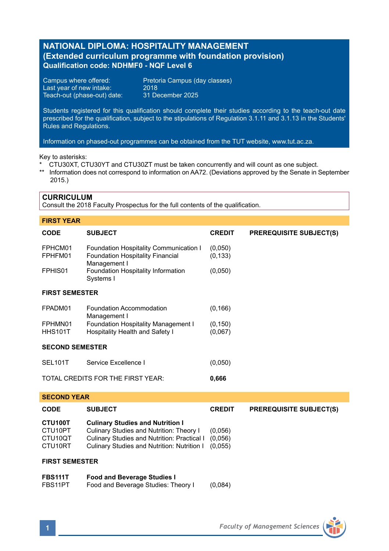# **NATIONAL DIPLOMA: HOSPITALITY MANAGEMENT (Extended curriculum programme with foundation provision) Qualification code: NDHMF0 - NQF Level 6**

Last year of new intake: 2018<br>Teach-out (phase-out) date: 31 December 2025 Teach-out (phase-out) date:

Campus where offered: Pretoria Campus (day classes)

Students registered for this qualification should complete their studies according to the teach-out date prescribed for the qualification, subject to the stipulations of Regulation 3.1.11 and 3.1.13 in the Students' Rules and Regulations.

Information on phased-out programmes can be obtained from the TUT website, www.tut.ac.za.

### Key to asterisks:

- \* CTU30XT, CTU30YT and CTU30ZT must be taken concurrently and will count as one subject.
- \*\* Information does not correspond to information on AA72. (Deviations approved by the Senate in September 2015.)

### **CURRICULUM**

Consult the 2018 Faculty Prospectus for the full contents of the qualification.

## **FIRST YEAR**

| <b>CODE</b>                       | <b>SUBJECT</b>                                                                                    | <b>CREDIT</b>       | <b>PREREQUISITE SUBJECT(S)</b> |  |  |  |
|-----------------------------------|---------------------------------------------------------------------------------------------------|---------------------|--------------------------------|--|--|--|
| FPHCM01<br>FPHFM01                | Foundation Hospitality Communication I<br><b>Foundation Hospitality Financial</b><br>Management I | (0,050)<br>(0, 133) |                                |  |  |  |
| FPHIS <sub>01</sub>               | Foundation Hospitality Information<br>Systems I                                                   | (0,050)             |                                |  |  |  |
| <b>FIRST SEMESTER</b>             |                                                                                                   |                     |                                |  |  |  |
| FPADM01                           | Foundation Accommodation<br>Management I                                                          | (0, 166)            |                                |  |  |  |
| FPHMN01<br><b>HHS101T</b>         | Foundation Hospitality Management I<br>Hospitality Health and Safety I                            | (0, 150)<br>(0,067) |                                |  |  |  |
| <b>SECOND SEMESTER</b>            |                                                                                                   |                     |                                |  |  |  |
| SEL <sub>101</sub> T              | Service Excellence I                                                                              | (0,050)             |                                |  |  |  |
| TOTAL CREDITS FOR THE FIRST YEAR: |                                                                                                   | 0,666               |                                |  |  |  |
|                                   |                                                                                                   |                     |                                |  |  |  |

# **SECOND YEAR CODE SUBJECT CREDIT PREREQUISITE SUBJECT(S) CTU100T** Culinary Studies and Nutrition I<br>CTU10PT Culinary Studies and Nutrition: The CTU10PT Culinary Studies and Nutrition: Theory I (0,056) CTU10QT Culinary Studies and Nutrition: Practical I (0,056) Culinary Studies and Nutrition: Nutrition I (0,055)

### **FIRST SEMESTER**

| <b>FBS111T</b> | <b>Food and Beverage Studies I</b>  |         |
|----------------|-------------------------------------|---------|
| FBS11PT        | Food and Beverage Studies: Theory I | (0,084) |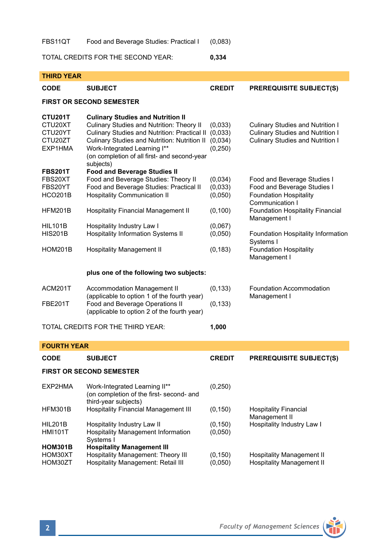FBS11QT Food and Beverage Studies: Practical I (0,083)

TOTAL CREDITS FOR THE SECOND YEAR: **0,334**

| <b>THIRD YEAR</b>                                                                |                                                                                                                                                                                                                                                                                    |                                           |                                                                                                                                                             |  |  |  |  |
|----------------------------------------------------------------------------------|------------------------------------------------------------------------------------------------------------------------------------------------------------------------------------------------------------------------------------------------------------------------------------|-------------------------------------------|-------------------------------------------------------------------------------------------------------------------------------------------------------------|--|--|--|--|
| <b>CODE</b>                                                                      | <b>SUBJECT</b>                                                                                                                                                                                                                                                                     | <b>CREDIT</b>                             | <b>PREREQUISITE SUBJECT(S)</b>                                                                                                                              |  |  |  |  |
| <b>FIRST OR SECOND SEMESTER</b>                                                  |                                                                                                                                                                                                                                                                                    |                                           |                                                                                                                                                             |  |  |  |  |
| CTU201T<br>CTU20XT<br>CTU20YT<br>CTU20ZT<br>EXP1HMA                              | <b>Culinary Studies and Nutrition II</b><br>Culinary Studies and Nutrition: Theory II<br>Culinary Studies and Nutrition: Practical II<br>Culinary Studies and Nutrition: Nutrition II<br>Work-Integrated Learning I**<br>(on completion of all first- and second-year<br>subjects) | (0,033)<br>(0,033)<br>(0,034)<br>(0, 250) | <b>Culinary Studies and Nutrition I</b><br><b>Culinary Studies and Nutrition I</b><br><b>Culinary Studies and Nutrition I</b>                               |  |  |  |  |
| <b>FBS201T</b><br>FBS20XT<br>FBS20YT<br><b>HCO201B</b><br><b>HFM201B</b>         | <b>Food and Beverage Studies II</b><br>Food and Beverage Studies: Theory II<br>Food and Beverage Studies: Practical II<br><b>Hospitality Communication II</b><br>Hospitality Financial Management II                                                                               | (0,034)<br>(0,033)<br>(0,050)<br>(0, 100) | Food and Beverage Studies I<br>Food and Beverage Studies I<br><b>Foundation Hospitality</b><br>Communication I                                              |  |  |  |  |
| <b>HIL101B</b><br><b>HIS201B</b><br><b>HOM201B</b>                               | Hospitality Industry Law I<br><b>Hospitality Information Systems II</b><br><b>Hospitality Management II</b>                                                                                                                                                                        | (0,067)<br>(0,050)<br>(0, 183)            | <b>Foundation Hospitality Financial</b><br>Management I<br>Foundation Hospitality Information<br>Systems I<br><b>Foundation Hospitality</b><br>Management I |  |  |  |  |
|                                                                                  | plus one of the following two subjects:                                                                                                                                                                                                                                            |                                           |                                                                                                                                                             |  |  |  |  |
| ACM201T<br><b>FBE201T</b>                                                        | <b>Accommodation Management II</b><br>(applicable to option 1 of the fourth year)<br>Food and Beverage Operations II                                                                                                                                                               | (0, 133)<br>(0, 133)                      | <b>Foundation Accommodation</b><br>Management I                                                                                                             |  |  |  |  |
| (applicable to option 2 of the fourth year)<br>TOTAL CREDITS FOR THE THIRD YEAR: |                                                                                                                                                                                                                                                                                    | 1,000                                     |                                                                                                                                                             |  |  |  |  |
| <b>FOURTH YEAR</b>                                                               |                                                                                                                                                                                                                                                                                    |                                           |                                                                                                                                                             |  |  |  |  |
| <b>CODE</b>                                                                      | <b>SUBJECT</b>                                                                                                                                                                                                                                                                     | <b>CREDIT</b>                             | <b>PREREQUISITE SUBJECT(S)</b>                                                                                                                              |  |  |  |  |
| <b>FIRST OR SECOND SEMESTER</b>                                                  |                                                                                                                                                                                                                                                                                    |                                           |                                                                                                                                                             |  |  |  |  |
| EXP2HMA                                                                          | Work-Integrated Learning II**<br>(on completion of the first- second- and<br>third-year subjects)                                                                                                                                                                                  | (0, 250)                                  |                                                                                                                                                             |  |  |  |  |
| HFM301B                                                                          | <b>Hospitality Financial Management III</b>                                                                                                                                                                                                                                        | (0, 150)                                  | <b>Hospitality Financial</b><br>Management II<br>Hospitality Industry Law I                                                                                 |  |  |  |  |
| <b>HIL201B</b><br><b>HMI101T</b>                                                 | Hospitality Industry Law II<br><b>Hospitality Management Information</b><br>Systems I                                                                                                                                                                                              | (0, 150)<br>(0,050)                       |                                                                                                                                                             |  |  |  |  |
| <b>HOM301B</b><br>HOM30XT<br>HOM30ZT                                             | <b>Hospitality Management III</b><br>Hospitality Management: Theory III<br>Hospitality Management: Retail III                                                                                                                                                                      | (0, 150)<br>(0,050)                       | <b>Hospitality Management II</b><br><b>Hospitality Management II</b>                                                                                        |  |  |  |  |

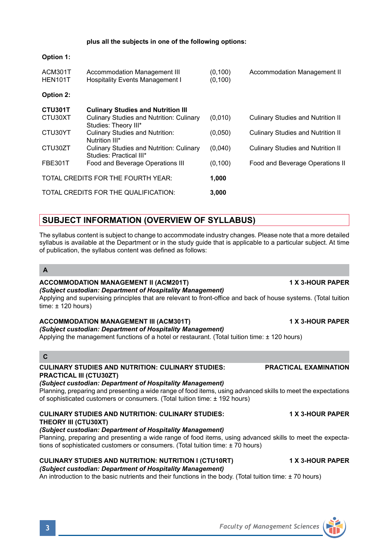### **plus all the subjects in one of the following options:**

# ACM301T Accommodation Management III (0,100) Accommodation Management II<br>HEN101T Hospitality Events Management I (0,100) Hospitality Events Management I **Option 2: CTU301T Culinary Studies and Nutrition III** Culinary Studies and Nutrition: Culinary (0,010) Culinary Studies and Nutrition II Studies: Theory III\*<br>Culinary Studies and Nutrition: CTU30YT Culinary Studies and Nutrition: (0,050) Culinary Studies and Nutrition II Nutrition III\* CTU30ZT Culinary Studies and Nutrition: Culinary (0,040) Culinary Studies and Nutrition II Studies: Practical III\* FBE301T Food and Beverage Operations III (0,100) Food and Beverage Operations II TOTAL CREDITS FOR THE FOURTH YEAR: **1,000** TOTAL CREDITS FOR THE QUALIFICATION: **3,000**

# **SUBJECT INFORMATION (OVERVIEW OF SYLLABUS)**

The syllabus content is subject to change to accommodate industry changes. Please note that a more detailed syllabus is available at the Department or in the study guide that is applicable to a particular subject. At time of publication, the syllabus content was defined as follows:

### **A**

**Option 1:**

## **ACCOMMODATION MANAGEMENT II (ACM201T) 1 X 3-HOUR PAPER**

*(Subject custodian: Department of Hospitality Management)*

Applying and supervising principles that are relevant to front-office and back of house systems. (Total tuition time:  $\pm$  120 hours)

## **ACCOMMODATION MANAGEMENT III (ACM301T) 1 X 3-HOUR PAPER**

# *(Subject custodian: Department of Hospitality Management)*

Applying the management functions of a hotel or restaurant. (Total tuition time: ± 120 hours)

## **C**

### **CULINARY STUDIES AND NUTRITION: CULINARY STUDIES: PRACTICAL EXAMINATION PRACTICAL III (CTU30ZT)**

# *(Subject custodian: Department of Hospitality Management)*

Planning, preparing and presenting a wide range of food items, using advanced skills to meet the expectations of sophisticated customers or consumers. (Total tuition time: ± 192 hours)

### **CULINARY STUDIES AND NUTRITION: CULINARY STUDIES: 1 X 3-HOUR PAPER THEORY III (CTU30XT)**  *(Subject custodian: Department of Hospitality Management)*

Planning, preparing and presenting a wide range of food items, using advanced skills to meet the expectations of sophisticated customers or consumers. (Total tuition time: ± 70 hours)

# **CULINARY STUDIES AND NUTRITION: NUTRITION I (CTU10RT) 1 X 3-HOUR PAPER**

*(Subject custodian: Department of Hospitality Management)*

An introduction to the basic nutrients and their functions in the body. (Total tuition time: ± 70 hours)

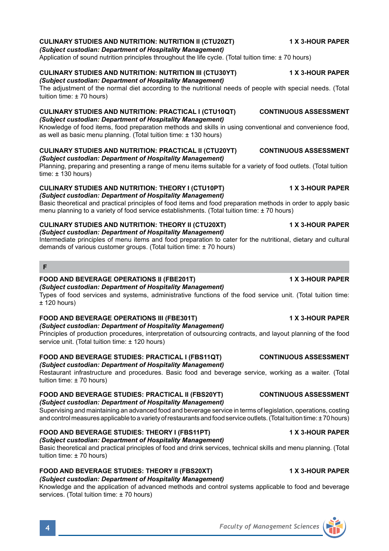### **CULINARY STUDIES AND NUTRITION: NUTRITION II (CTU20ZT) 1 X 3-HOUR PAPER**

*(Subject custodian: Department of Hospitality Management)*

Application of sound nutrition principles throughout the life cycle. (Total tuition time: ± 70 hours)

## **CULINARY STUDIES AND NUTRITION: NUTRITION III (CTU30YT) 1 X 3-HOUR PAPER**

*(Subject custodian: Department of Hospitality Management)*

The adjustment of the normal diet according to the nutritional needs of people with special needs. (Total tuition time: ± 70 hours)

### **CULINARY STUDIES AND NUTRITION: PRACTICAL I (CTU10QT) CONTINUOUS ASSESSMENT** *(Subject custodian: Department of Hospitality Management)*

Knowledge of food items, food preparation methods and skills in using conventional and convenience food, as well as basic menu planning. (Total tuition time: ± 130 hours)

### **CULINARY STUDIES AND NUTRITION: PRACTICAL II (CTU20YT) CONTINUOUS ASSESSMENT** *(Subject custodian: Department of Hospitality Management)*

Planning, preparing and presenting a range of menu items suitable for a variety of food outlets. (Total tuition time:  $\pm$  130 hours)

# **CULINARY STUDIES AND NUTRITION: THEORY I (CTU10PT) 1 X 3-HOUR PAPER**

*(Subject custodian: Department of Hospitality Management)* Basic theoretical and practical principles of food items and food preparation methods in order to apply basic menu planning to a variety of food service establishments. (Total tuition time: ± 70 hours)

# **CULINARY STUDIES AND NUTRITION: THEORY II (CTU20XT) 1 X 3-HOUR PAPER**

*(Subject custodian: Department of Hospitality Management)*

Intermediate principles of menu items and food preparation to cater for the nutritional, dietary and cultural demands of various customer groups. (Total tuition time: ± 70 hours)

### **F**

## **FOOD AND BEVERAGE OPERATIONS II (FBE201T) 1 X 3-HOUR PAPER**

*(Subject custodian: Department of Hospitality Management)* Types of food services and systems, administrative functions of the food service unit. (Total tuition time:  $+120$  hours)

### **FOOD AND BEVERAGE OPERATIONS III (FBE301T) 1 X 3-HOUR PAPER** *(Subject custodian: Department of Hospitality Management)*

Principles of production procedures, interpretation of outsourcing contracts, and layout planning of the food service unit. (Total tuition time: ± 120 hours)

# **FOOD AND BEVERAGE STUDIES: PRACTICAL I (FBS11QT) CONTINUOUS ASSESSMENT**

## *(Subject custodian: Department of Hospitality Management)*

Restaurant infrastructure and procedures. Basic food and beverage service, working as a waiter. (Total tuition time: ± 70 hours)

# **FOOD AND BEVERAGE STUDIES: PRACTICAL II (FBS20YT) CONTINUOUS ASSESSMENT**

*(Subject custodian: Department of Hospitality Management)*

Supervising and maintaining an advanced food and beverage service in terms of legislation, operations, costing and control measures applicable to a variety of restaurants and food service outlets. (Total tuition time: ± 70 hours)

## **FOOD AND BEVERAGE STUDIES: THEORY I (FBS11PT) 1 X 3-HOUR PAPER**

## *(Subject custodian: Department of Hospitality Management)*

Basic theoretical and practical principles of food and drink services, technical skills and menu planning. (Total tuition time: ± 70 hours)

### **FOOD AND BEVERAGE STUDIES: THEORY II (FBS20XT) 1 X 3-HOUR PAPER** *(Subject custodian: Department of Hospitality Management)*

Knowledge and the application of advanced methods and control systems applicable to food and beverage services. (Total tuition time: ± 70 hours)

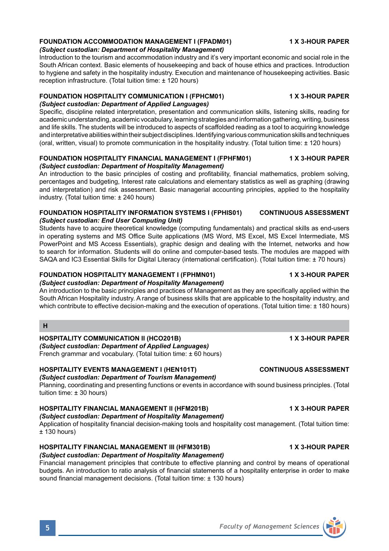### **FOUNDATION ACCOMMODATION MANAGEMENT I (FPADM01) 1 X 3-HOUR PAPER**

### *(Subject custodian: Department of Hospitality Management)*

Introduction to the tourism and accommodation industry and it's very important economic and social role in the South African context. Basic elements of housekeeping and back of house ethics and practices. Introduction to hygiene and safety in the hospitality industry. Execution and maintenance of housekeeping activities. Basic reception infrastructure. (Total tuition time: ± 120 hours)

### **FOUNDATION HOSPITALITY COMMUNICATION I (FPHCM01) 1 X 3-HOUR PAPER** *(Subject custodian: Department of Applied Languages)*

Specific, discipline related interpretation, presentation and communication skills, listening skills, reading for academic understanding, academic vocabulary, learning strategies and information gathering, writing, business and life skills. The students will be introduced to aspects of scaffolded reading as a tool to acquiring knowledge and interpretative abilities within their subject disciplines. Identifying various communication skills and techniques

(oral, written, visual) to promote communication in the hospitality industry. (Total tuition time: ± 120 hours)

### **FOUNDATION HOSPITALITY FINANCIAL MANAGEMENT I (FPHFM01) 1 X 3-HOUR PAPER** *(Subject custodian: Department of Hospitality Management)*

An introduction to the basic principles of costing and profitability, financial mathematics, problem solving, percentages and budgeting, Interest rate calculations and elementary statistics as well as graphing (drawing and interpretation) and risk assessment. Basic managerial accounting principles, applied to the hospitality industry. (Total tuition time: ± 240 hours)

### **FOUNDATION HOSPITALITY INFORMATION SYSTEMS I (FPHIS01) CONTINUOUS ASSESSMENT** *(Subject custodian: End User Computing Unit)*

Students have to acquire theoretical knowledge (computing fundamentals) and practical skills as end-users in operating systems and MS Office Suite applications (MS Word, MS Excel, MS Excel Intermediate, MS PowerPoint and MS Access Essentials), graphic design and dealing with the Internet, networks and how to search for information. Students will do online and computer-based tests. The modules are mapped with SAQA and IC3 Essential Skills for Digital Literacy (international certification). (Total tuition time: ± 70 hours)

### **FOUNDATION HOSPITALITY MANAGEMENT I (FPHMN01) 1 X 3-HOUR PAPER** *(Subject custodian: Department of Hospitality Management)*

An introduction to the basic principles and practices of Management as they are specifically applied within the South African Hospitality industry. A range of business skills that are applicable to the hospitality industry, and which contribute to effective decision-making and the execution of operations. (Total tuition time: ± 180 hours)

# **H**

## **HOSPITALITY COMMUNICATION II (HCO201B) 1 X 3-HOUR PAPER**

*(Subject custodian: Department of Applied Languages)* French grammar and vocabulary. (Total tuition time: ± 60 hours)

### **HOSPITALITY EVENTS MANAGEMENT I (HEN101T) CONTINUOUS ASSESSMENT** *(Subject custodian: Department of Tourism Management)*

Planning, coordinating and presenting functions or events in accordance with sound business principles. (Total tuition time: ± 30 hours)

## **HOSPITALITY FINANCIAL MANAGEMENT II (HFM201B) 1 X 3-HOUR PAPER**

*(Subject custodian: Department of Hospitality Management)*

Application of hospitality financial decision-making tools and hospitality cost management. (Total tuition time:  $± 130$  hours)

### **HOSPITALITY FINANCIAL MANAGEMENT III (HFM301B) 1 X 3-HOUR PAPER** *(Subject custodian: Department of Hospitality Management)*

Financial management principles that contribute to effective planning and control by means of operational budgets. An introduction to ratio analysis of financial statements of a hospitality enterprise in order to make sound financial management decisions. (Total tuition time: ± 130 hours)

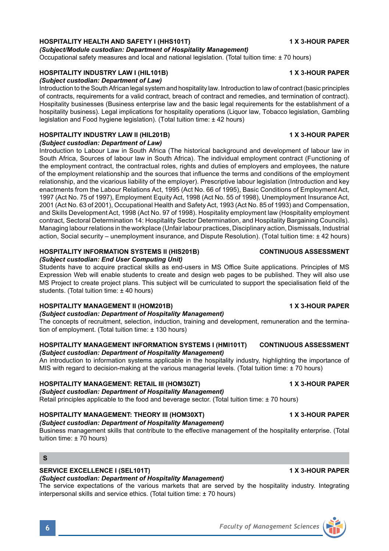# **HOSPITALITY HEALTH AND SAFETY I (HHS101T) 1 X 3-HOUR PAPER**

*(Subject/Module custodian: Department of Hospitality Management)* Occupational safety measures and local and national legislation. (Total tuition time: ± 70 hours)

# **HOSPITALITY INDUSTRY LAW I (HIL101B) 1 X 3-HOUR PAPER**

# *(Subject custodian: Department of Law)*

Introduction to the South African legal system and hospitality law. Introduction to law of contract (basic principles of contracts, requirements for a valid contract, breach of contract and remedies, and termination of contract). Hospitality businesses (Business enterprise law and the basic legal requirements for the establishment of a hospitality business). Legal implications for hospitality operations (Liquor law, Tobacco legislation, Gambling legislation and Food hygiene legislation). (Total tuition time: ± 42 hours)

# **HOSPITALITY INDUSTRY LAW II (HIL201B) 1 X 3-HOUR PAPER**

*(Subject custodian: Department of Law)*

Introduction to Labour Law in South Africa (The historical background and development of labour law in South Africa, Sources of labour law in South Africa). The individual employment contract (Functioning of the employment contract, the contractual roles, rights and duties of employers and employees, the nature of the employment relationship and the sources that influence the terms and conditions of the employment relationship, and the vicarious liability of the employer). Prescriptive labour legislation (Introduction and key enactments from the Labour Relations Act, 1995 (Act No. 66 of 1995), Basic Conditions of Employment Act, 1997 (Act No. 75 of 1997), Employment Equity Act, 1998 (Act No. 55 of 1998), Unemployment Insurance Act, 2001 (Act No. 63 of 2001), Occupational Health and Safety Act, 1993 (Act No. 85 of 1993) and Compensation, and Skills Development Act, 1998 (Act No. 97 of 1998). Hospitality employment law (Hospitality employment contract, Sectoral Determination 14: Hospitality Sector Determination, and Hospitality Bargaining Councils). Managing labour relations in the workplace (Unfair labour practices, Disciplinary action, Dismissals, Industrial action, Social security – unemployment insurance, and Dispute Resolution). (Total tuition time: ± 42 hours)

# **HOSPITALITY INFORMATION SYSTEMS II (HIS201B) CONTINUOUS ASSESSMENT**

## *(Subject custodian: End User Computing Unit)*

Students have to acquire practical skills as end-users in MS Office Suite applications. Principles of MS Expression Web will enable students to create and design web pages to be published. They will also use MS Project to create project plans. This subject will be curriculated to support the specialisation field of the students. (Total tuition time: ± 40 hours)

# **HOSPITALITY MANAGEMENT II (HOM201B) 1 X 3-HOUR PAPER**

## *(Subject custodian: Department of Hospitality Management)*

The concepts of recruitment, selection, induction, training and development, remuneration and the termination of employment. (Total tuition time: ± 130 hours)

### **HOSPITALITY MANAGEMENT INFORMATION SYSTEMS I (HMI101T) CONTINUOUS ASSESSMENT** *(Subject custodian: Department of Hospitality Management)*

An introduction to information systems applicable in the hospitality industry, highlighting the importance of MIS with regard to decision-making at the various managerial levels. (Total tuition time: ± 70 hours)

# **HOSPITALITY MANAGEMENT: RETAIL III (HOM30ZT) 1 X 3-HOUR PAPER**

## *(Subject custodian: Department of Hospitality Management)*

Retail principles applicable to the food and beverage sector. (Total tuition time: ± 70 hours)

### **HOSPITALITY MANAGEMENT: THEORY III (HOM30XT) 1 X 3-HOUR PAPER** *(Subject custodian: Department of Hospitality Management)*

Business management skills that contribute to the effective management of the hospitality enterprise. (Total tuition time: ± 70 hours)

## **S**

# **SERVICE EXCELLENCE I (SEL101T) 1 X 3-HOUR PAPER**

# *(Subject custodian: Department of Hospitality Management)*

The service expectations of the various markets that are served by the hospitality industry. Integrating interpersonal skills and service ethics. (Total tuition time: ± 70 hours)